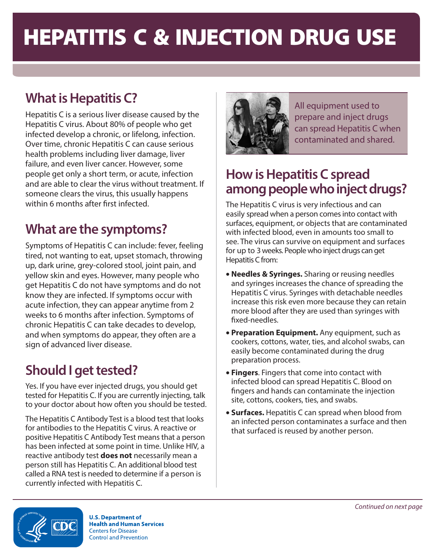# HEPATITIS C & INJECTION DRUG USE

# **What is Hepatitis C?**

Hepatitis C is a serious liver disease caused by the Hepatitis C virus. About 80% of people who get infected develop a chronic, or lifelong, infection. Over time, chronic Hepatitis C can cause serious health problems including liver damage, liver failure, and even liver cancer. However, some people get only a short term, or acute, infection and are able to clear the virus without treatment. If someone clears the virus, this usually happens within 6 months after first infected.

## **What are the symptoms?**

Symptoms of Hepatitis C can include: fever, feeling tired, not wanting to eat, upset stomach, throwing up, dark urine, grey-colored stool, joint pain, and yellow skin and eyes. However, many people who get Hepatitis C do not have symptoms and do not know they are infected. If symptoms occur with acute infection, they can appear anytime from 2 weeks to 6 months after infection. Symptoms of chronic Hepatitis C can take decades to develop, and when symptoms do appear, they often are a sign of advanced liver disease.

## **Should I get tested?**

Yes. If you have ever injected drugs, you should get tested for Hepatitis C. If you are currently injecting, talk to your doctor about how often you should be tested.

The Hepatitis C Antibody Test is a blood test that looks for antibodies to the Hepatitis C virus. A reactive or positive Hepatitis C Antibody Test means that a person has been infected at some point in time. Unlike HIV, a reactive antibody test **does not** necessarily mean a person still has Hepatitis C. An additional blood test called a RNA test is needed to determine if a person is currently infected with Hepatitis C.



All equipment used to prepare and inject drugs can spread Hepatitis C when contaminated and shared.

#### **How is Hepatitis C spread among people who inject drugs?**

The Hepatitis C virus is very infectious and can easily spread when a person comes into contact with surfaces, equipment, or objects that are contaminated with infected blood, even in amounts too small to see. The virus can survive on equipment and surfaces for up to 3 weeks. People who inject drugs can get Hepatitis C from:

- **Needles & Syringes.** Sharing or reusing needles and syringes increases the chance of spreading the Hepatitis C virus. Syringes with detachable needles increase this risk even more because they can retain more blood after they are used than syringes with fixed-needles.
- **Preparation Equipment.** Any equipment, such as cookers, cottons, water, ties, and alcohol swabs, can easily become contaminated during the drug preparation process.
- **Fingers**. Fingers that come into contact with infected blood can spread Hepatitis C. Blood on fingers and hands can contaminate the injection site, cottons, cookers, ties, and swabs.
- **Surfaces.** Hepatitis C can spread when blood from an infected person contaminates a surface and then that surfaced is reused by another person.



**U.S. Department of Health and Human Services Centers for Disease Control and Prevention**